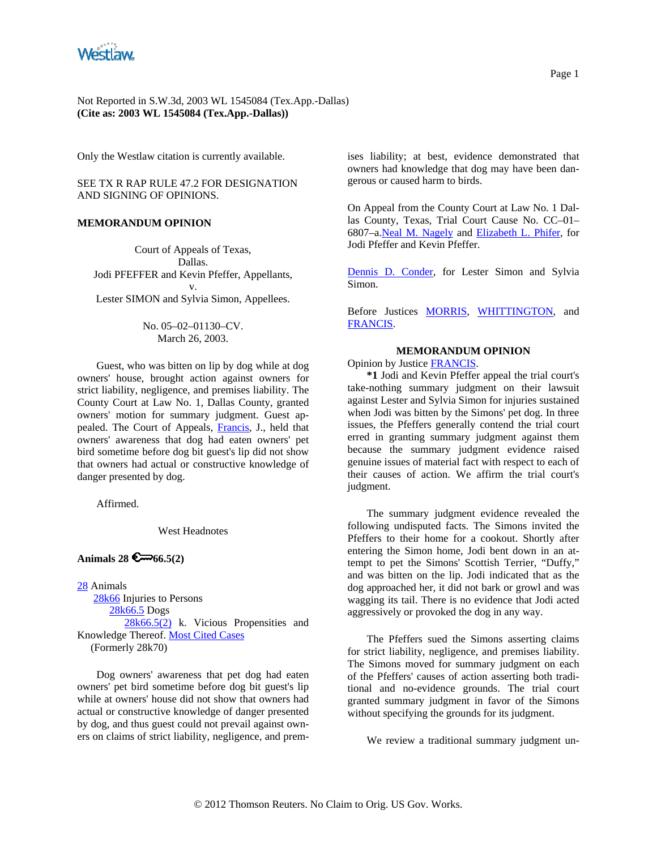

Only the Westlaw citation is currently available.

SEE TX R RAP RULE 47.2 FOR DESIGNATION AND SIGNING OF OPINIONS.

## **MEMORANDUM OPINION**

Court of Appeals of Texas, Dallas. Jodi PFEFFER and Kevin Pfeffer, Appellants, v. Lester SIMON and Sylvia Simon, Appellees.

> No. 05–02–01130–CV. March 26, 2003.

Guest, who was bitten on lip by dog while at dog owners' house, brought action against owners for strict liability, negligence, and premises liability. The County Court at Law No. 1, Dallas County, granted owners' motion for summary judgment. Guest appealed. The Court of Appeals, [Francis](http://www.westlaw.com/Find/Default.wl?rs=dfa1.0&vr=2.0&DB=PROFILER-WLD&DocName=0153508401&FindType=h), J., held that owners' awareness that dog had eaten owners' pet bird sometime before dog bit guest's lip did not show that owners had actual or constructive knowledge of danger presented by dog.

Affirmed.

West Headnotes

## Animals  $28 \, 6 \rightarrow 66.5(2)$

[28](http://www.westlaw.com/KeyNumber/Default.wl?rs=dfa1.0&vr=2.0&CMD=KEY&DocName=28) Animals

[28k66](http://www.westlaw.com/KeyNumber/Default.wl?rs=dfa1.0&vr=2.0&CMD=KEY&DocName=28k66) Injuries to Persons [28k66.5](http://www.westlaw.com/KeyNumber/Default.wl?rs=dfa1.0&vr=2.0&CMD=KEY&DocName=28k66.5) Dogs [28k66.5\(2\)](http://www.westlaw.com/KeyNumber/Default.wl?rs=dfa1.0&vr=2.0&CMD=KEY&DocName=28k66.5%282%29) k. Vicious Propensities and Knowledge Thereof. [Most Cited Cases](http://www.westlaw.com/Digest/Default.wl?rs=dfa1.0&vr=2.0&CMD=MCC&DocName=28k66.5%282%29) (Formerly 28k70)

Dog owners' awareness that pet dog had eaten owners' pet bird sometime before dog bit guest's lip while at owners' house did not show that owners had actual or constructive knowledge of danger presented by dog, and thus guest could not prevail against owners on claims of strict liability, negligence, and premises liability; at best, evidence demonstrated that owners had knowledge that dog may have been dangerous or caused harm to birds.

On Appeal from the County Court at Law No. 1 Dallas County, Texas, Trial Court Cause No. CC–01– 6807–a.[Neal M. Nagely](http://www.westlaw.com/Find/Default.wl?rs=dfa1.0&vr=2.0&DB=PROFILER-WLD&DocName=0109055501&FindType=h) and [Elizabeth L. Phifer](http://www.westlaw.com/Find/Default.wl?rs=dfa1.0&vr=2.0&DB=PROFILER-WLD&DocName=0177848301&FindType=h), for Jodi Pfeffer and Kevin Pfeffer.

[Dennis D. Conder,](http://www.westlaw.com/Find/Default.wl?rs=dfa1.0&vr=2.0&DB=PROFILER-WLD&DocName=0102898101&FindType=h) for Lester Simon and Sylvia Simon.

Before Justices [MORRIS](http://www.westlaw.com/Find/Default.wl?rs=dfa1.0&vr=2.0&DB=PROFILER-WLD&DocName=0140040701&FindType=h), [WHITTINGTON,](http://www.westlaw.com/Find/Default.wl?rs=dfa1.0&vr=2.0&DB=PROFILER-WLD&DocName=0247187801&FindType=h) and [FRANCIS](http://www.westlaw.com/Find/Default.wl?rs=dfa1.0&vr=2.0&DB=PROFILER-WLD&DocName=0153508401&FindType=h).

## **MEMORANDUM OPINION**

Opinion by Justice [FRANCIS.](http://www.westlaw.com/Find/Default.wl?rs=dfa1.0&vr=2.0&DB=PROFILER-WLD&DocName=0153508401&FindType=h)

**\*1** Jodi and Kevin Pfeffer appeal the trial court's take-nothing summary judgment on their lawsuit against Lester and Sylvia Simon for injuries sustained when Jodi was bitten by the Simons' pet dog. In three issues, the Pfeffers generally contend the trial court erred in granting summary judgment against them because the summary judgment evidence raised genuine issues of material fact with respect to each of their causes of action. We affirm the trial court's judgment.

The summary judgment evidence revealed the following undisputed facts. The Simons invited the Pfeffers to their home for a cookout. Shortly after entering the Simon home, Jodi bent down in an attempt to pet the Simons' Scottish Terrier, "Duffy," and was bitten on the lip. Jodi indicated that as the dog approached her, it did not bark or growl and was wagging its tail. There is no evidence that Jodi acted aggressively or provoked the dog in any way.

The Pfeffers sued the Simons asserting claims for strict liability, negligence, and premises liability. The Simons moved for summary judgment on each of the Pfeffers' causes of action asserting both traditional and no-evidence grounds. The trial court granted summary judgment in favor of the Simons without specifying the grounds for its judgment.

We review a traditional summary judgment un-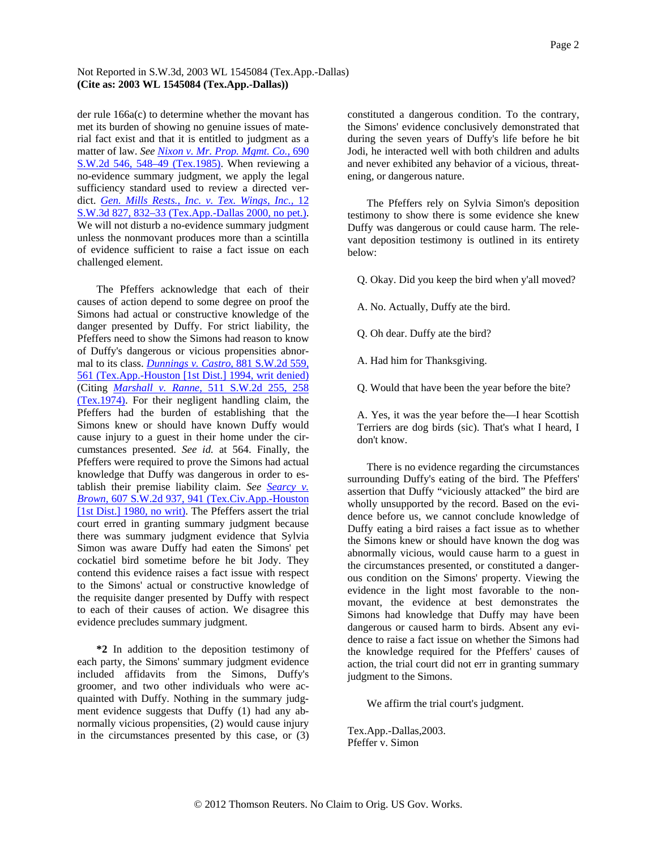## Not Reported in S.W.3d, 2003 WL 1545084 (Tex.App.-Dallas) **(Cite as: 2003 WL 1545084 (Tex.App.-Dallas))**

der rule 166a(c) to determine whether the movant has met its burden of showing no genuine issues of material fact exist and that it is entitled to judgment as a matter of law. *See [Nixon v. Mr. Prop. Mgmt. Co.,](http://www.westlaw.com/Find/Default.wl?rs=dfa1.0&vr=2.0&DB=713&FindType=Y&ReferencePositionType=S&SerialNum=1985123468&ReferencePosition=548)* [690](http://www.westlaw.com/Find/Default.wl?rs=dfa1.0&vr=2.0&DB=713&FindType=Y&ReferencePositionType=S&SerialNum=1985123468&ReferencePosition=548)  [S.W.2d 546, 548–49 \(Tex.1985\).](http://www.westlaw.com/Find/Default.wl?rs=dfa1.0&vr=2.0&DB=713&FindType=Y&ReferencePositionType=S&SerialNum=1985123468&ReferencePosition=548) When reviewing a no-evidence summary judgment, we apply the legal sufficiency standard used to review a directed verdict. *[Gen. Mills Rests., Inc. v. Tex. Wings, Inc.,](http://www.westlaw.com/Find/Default.wl?rs=dfa1.0&vr=2.0&DB=4644&FindType=Y&ReferencePositionType=S&SerialNum=2000047623&ReferencePosition=832)* [12](http://www.westlaw.com/Find/Default.wl?rs=dfa1.0&vr=2.0&DB=4644&FindType=Y&ReferencePositionType=S&SerialNum=2000047623&ReferencePosition=832)  [S.W.3d 827, 832–33 \(Tex.App.-Dallas 2000, no pet.\).](http://www.westlaw.com/Find/Default.wl?rs=dfa1.0&vr=2.0&DB=4644&FindType=Y&ReferencePositionType=S&SerialNum=2000047623&ReferencePosition=832) We will not disturb a no-evidence summary judgment unless the nonmovant produces more than a scintilla of evidence sufficient to raise a fact issue on each challenged element.

The Pfeffers acknowledge that each of their causes of action depend to some degree on proof the Simons had actual or constructive knowledge of the danger presented by Duffy. For strict liability, the Pfeffers need to show the Simons had reason to know of Duffy's dangerous or vicious propensities abnormal to its class. *[Dunnings v. Castro,](http://www.westlaw.com/Find/Default.wl?rs=dfa1.0&vr=2.0&DB=713&FindType=Y&ReferencePositionType=S&SerialNum=1994162285&ReferencePosition=561)* [881 S.W.2d 559,](http://www.westlaw.com/Find/Default.wl?rs=dfa1.0&vr=2.0&DB=713&FindType=Y&ReferencePositionType=S&SerialNum=1994162285&ReferencePosition=561)  [561 \(Tex.App.-Houston \[1st Dist.\] 1994, writ denied\)](http://www.westlaw.com/Find/Default.wl?rs=dfa1.0&vr=2.0&DB=713&FindType=Y&ReferencePositionType=S&SerialNum=1994162285&ReferencePosition=561) (Citing *[Marshall v. Ranne,](http://www.westlaw.com/Find/Default.wl?rs=dfa1.0&vr=2.0&DB=713&FindType=Y&ReferencePositionType=S&SerialNum=1974131894&ReferencePosition=258)* [511 S.W.2d 255, 258](http://www.westlaw.com/Find/Default.wl?rs=dfa1.0&vr=2.0&DB=713&FindType=Y&ReferencePositionType=S&SerialNum=1974131894&ReferencePosition=258)  [\(Tex.1974\).](http://www.westlaw.com/Find/Default.wl?rs=dfa1.0&vr=2.0&DB=713&FindType=Y&ReferencePositionType=S&SerialNum=1974131894&ReferencePosition=258) For their negligent handling claim, the Pfeffers had the burden of establishing that the Simons knew or should have known Duffy would cause injury to a guest in their home under the circumstances presented. *See id.* at 564. Finally, the Pfeffers were required to prove the Simons had actual knowledge that Duffy was dangerous in order to establish their premise liability claim. *See [Searcy v.](http://www.westlaw.com/Find/Default.wl?rs=dfa1.0&vr=2.0&DB=713&FindType=Y&ReferencePositionType=S&SerialNum=1980148278&ReferencePosition=941)  [Brown,](http://www.westlaw.com/Find/Default.wl?rs=dfa1.0&vr=2.0&DB=713&FindType=Y&ReferencePositionType=S&SerialNum=1980148278&ReferencePosition=941)* [607 S.W.2d 937, 941 \(Tex.Civ.App.-Houston](http://www.westlaw.com/Find/Default.wl?rs=dfa1.0&vr=2.0&DB=713&FindType=Y&ReferencePositionType=S&SerialNum=1980148278&ReferencePosition=941)  [\[1st Dist.\] 1980, no writ\).](http://www.westlaw.com/Find/Default.wl?rs=dfa1.0&vr=2.0&DB=713&FindType=Y&ReferencePositionType=S&SerialNum=1980148278&ReferencePosition=941) The Pfeffers assert the trial court erred in granting summary judgment because there was summary judgment evidence that Sylvia Simon was aware Duffy had eaten the Simons' pet cockatiel bird sometime before he bit Jody. They contend this evidence raises a fact issue with respect to the Simons' actual or constructive knowledge of the requisite danger presented by Duffy with respect to each of their causes of action. We disagree this evidence precludes summary judgment.

**\*2** In addition to the deposition testimony of each party, the Simons' summary judgment evidence included affidavits from the Simons, Duffy's groomer, and two other individuals who were acquainted with Duffy. Nothing in the summary judgment evidence suggests that Duffy (1) had any abnormally vicious propensities, (2) would cause injury in the circumstances presented by this case, or (3)

constituted a dangerous condition. To the contrary, the Simons' evidence conclusively demonstrated that during the seven years of Duffy's life before he bit Jodi, he interacted well with both children and adults and never exhibited any behavior of a vicious, threatening, or dangerous nature.

The Pfeffers rely on Sylvia Simon's deposition testimony to show there is some evidence she knew Duffy was dangerous or could cause harm. The relevant deposition testimony is outlined in its entirety below:

Q. Okay. Did you keep the bird when y'all moved?

A. No. Actually, Duffy ate the bird.

Q. Oh dear. Duffy ate the bird?

A. Had him for Thanksgiving.

Q. Would that have been the year before the bite?

A. Yes, it was the year before the—I hear Scottish Terriers are dog birds (sic). That's what I heard, I don't know.

There is no evidence regarding the circumstances surrounding Duffy's eating of the bird. The Pfeffers' assertion that Duffy "viciously attacked" the bird are wholly unsupported by the record. Based on the evidence before us, we cannot conclude knowledge of Duffy eating a bird raises a fact issue as to whether the Simons knew or should have known the dog was abnormally vicious, would cause harm to a guest in the circumstances presented, or constituted a dangerous condition on the Simons' property. Viewing the evidence in the light most favorable to the nonmovant, the evidence at best demonstrates the Simons had knowledge that Duffy may have been dangerous or caused harm to birds. Absent any evidence to raise a fact issue on whether the Simons had the knowledge required for the Pfeffers' causes of action, the trial court did not err in granting summary judgment to the Simons.

We affirm the trial court's judgment.

Tex.App.-Dallas,2003. Pfeffer v. Simon